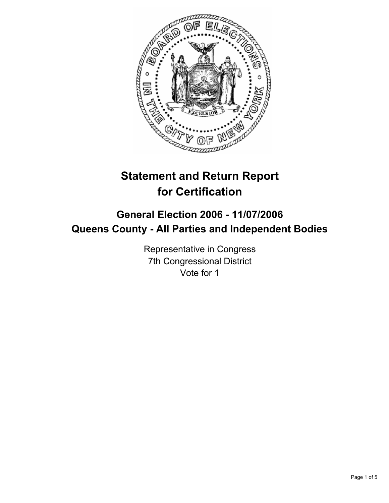

# **Statement and Return Report for Certification**

## **General Election 2006 - 11/07/2006 Queens County - All Parties and Independent Bodies**

Representative in Congress 7th Congressional District Vote for 1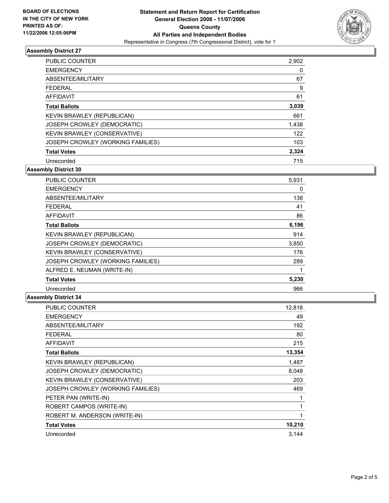

### **Assembly District 27**

| <b>PUBLIC COUNTER</b>             | 2,902 |
|-----------------------------------|-------|
| <b>EMERGENCY</b>                  | 0     |
| ABSENTEE/MILITARY                 | 67    |
| <b>FEDERAL</b>                    | 9     |
| AFFIDAVIT                         | 61    |
| <b>Total Ballots</b>              | 3,039 |
| KEVIN BRAWLEY (REPUBLICAN)        | 661   |
| JOSEPH CROWLEY (DEMOCRATIC)       | 1,438 |
| KEVIN BRAWLEY (CONSERVATIVE)      | 122   |
| JOSEPH CROWLEY (WORKING FAMILIES) | 103   |
| <b>Total Votes</b>                | 2,324 |
| Unrecorded                        | 715   |

**Assembly District 30**

| <b>PUBLIC COUNTER</b>             | 5,931 |  |
|-----------------------------------|-------|--|
| <b>EMERGENCY</b>                  | 0     |  |
| ABSENTEE/MILITARY                 | 138   |  |
| <b>FEDERAL</b>                    | 41    |  |
| <b>AFFIDAVIT</b>                  | 86    |  |
| <b>Total Ballots</b>              | 6,196 |  |
| KEVIN BRAWLEY (REPUBLICAN)        | 914   |  |
| JOSEPH CROWLEY (DEMOCRATIC)       | 3,850 |  |
| KEVIN BRAWLEY (CONSERVATIVE)      | 176   |  |
| JOSEPH CROWLEY (WORKING FAMILIES) | 289   |  |
| ALFRED E. NEUMAN (WRITE-IN)       |       |  |
| <b>Total Votes</b>                | 5,230 |  |
| Unrecorded                        | 966   |  |

#### **Assembly District 34**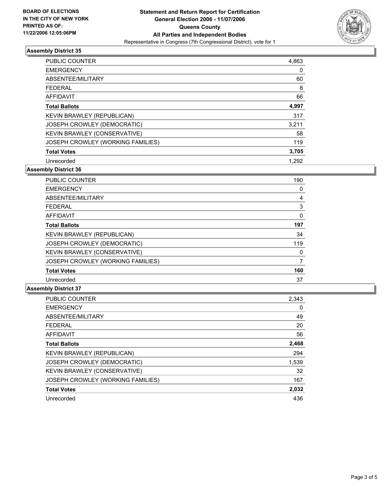

#### **Assembly District 35**

| PUBLIC COUNTER                    | 4,863 |
|-----------------------------------|-------|
| <b>EMERGENCY</b>                  | 0     |
| ABSENTEE/MILITARY                 | 60    |
| <b>FEDERAL</b>                    | 8     |
| <b>AFFIDAVIT</b>                  | 66    |
| <b>Total Ballots</b>              | 4,997 |
| KEVIN BRAWLEY (REPUBLICAN)        | 317   |
| JOSEPH CROWLEY (DEMOCRATIC)       | 3,211 |
| KEVIN BRAWLEY (CONSERVATIVE)      | 58    |
| JOSEPH CROWLEY (WORKING FAMILIES) | 119   |
| <b>Total Votes</b>                | 3,705 |
| Unrecorded                        | 1.292 |

**Assembly District 36**

| <b>PUBLIC COUNTER</b>             | 190 |  |
|-----------------------------------|-----|--|
| <b>EMERGENCY</b>                  | 0   |  |
| ABSENTEE/MILITARY                 |     |  |
| <b>FEDERAL</b>                    | 3   |  |
| <b>AFFIDAVIT</b>                  | 0   |  |
| <b>Total Ballots</b>              | 197 |  |
| KEVIN BRAWLEY (REPUBLICAN)        | 34  |  |
| JOSEPH CROWLEY (DEMOCRATIC)       | 119 |  |
| KEVIN BRAWLEY (CONSERVATIVE)      |     |  |
| JOSEPH CROWLEY (WORKING FAMILIES) |     |  |
| <b>Total Votes</b>                | 160 |  |
| Unrecorded                        | 37  |  |

#### **Assembly District 37**

| PUBLIC COUNTER                      | 2,343 |
|-------------------------------------|-------|
| <b>EMERGENCY</b>                    | 0     |
| ABSENTEE/MILITARY                   | 49    |
| <b>FEDERAL</b>                      | 20    |
| <b>AFFIDAVIT</b>                    | 56    |
| <b>Total Ballots</b>                | 2,468 |
| KEVIN BRAWLEY (REPUBLICAN)          | 294   |
| JOSEPH CROWLEY (DEMOCRATIC)         | 1,539 |
| <b>KEVIN BRAWLEY (CONSERVATIVE)</b> | 32    |
| JOSEPH CROWLEY (WORKING FAMILIES)   | 167   |
| <b>Total Votes</b>                  | 2,032 |
| Unrecorded                          | 436   |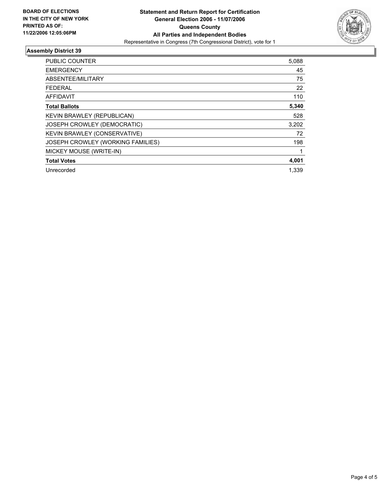

#### **Assembly District 39**

| <b>PUBLIC COUNTER</b>             | 5,088 |  |
|-----------------------------------|-------|--|
| <b>EMERGENCY</b>                  | 45    |  |
| ABSENTEE/MILITARY                 | 75    |  |
| <b>FEDERAL</b>                    | 22    |  |
| AFFIDAVIT                         | 110   |  |
| <b>Total Ballots</b>              | 5,340 |  |
| KEVIN BRAWLEY (REPUBLICAN)        | 528   |  |
| JOSEPH CROWLEY (DEMOCRATIC)       | 3,202 |  |
| KEVIN BRAWLEY (CONSERVATIVE)      | 72    |  |
| JOSEPH CROWLEY (WORKING FAMILIES) | 198   |  |
| MICKEY MOUSE (WRITE-IN)           |       |  |
| <b>Total Votes</b>                | 4,001 |  |
| Unrecorded                        | 1.339 |  |